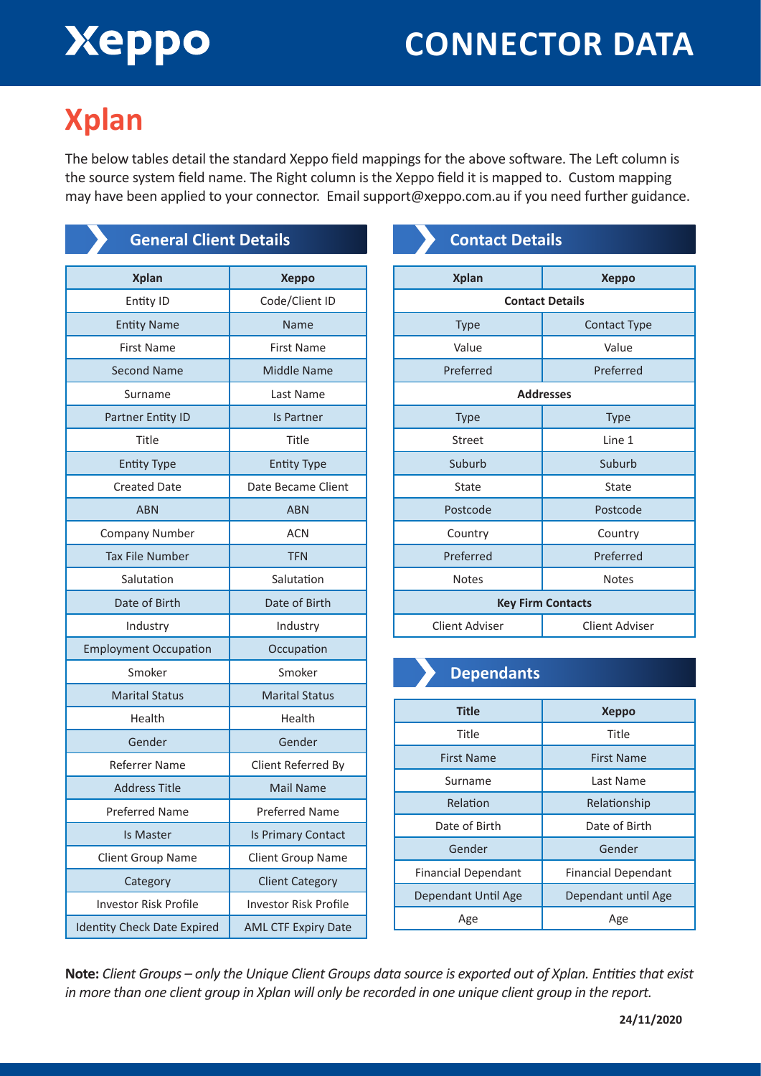# Xeppo

### **CONNECTOR DATA**

### **Xplan**

The below tables detail the standard Xeppo field mappings for the above software. The Left column is the source system field name. The Right column is the Xeppo field it is mapped to. Custom mapping may have been applied to your connector. Email support@xeppo.com.au if you need further guidance.

| <b>General Client Details</b>      |                              |
|------------------------------------|------------------------------|
| <b>Xplan</b>                       | <b>Xeppo</b>                 |
| Entity ID                          | Code/Client ID               |
| <b>Entity Name</b>                 | Name                         |
| <b>First Name</b>                  | <b>First Name</b>            |
| <b>Second Name</b>                 | Middle Name                  |
| Surname                            | Last Name                    |
| <b>Partner Entity ID</b>           | Is Partner                   |
| Title                              | Title                        |
| <b>Entity Type</b>                 | <b>Entity Type</b>           |
| <b>Created Date</b>                | Date Became Client           |
| <b>ABN</b>                         | <b>ABN</b>                   |
| <b>Company Number</b>              | <b>ACN</b>                   |
| <b>Tax File Number</b>             | <b>TFN</b>                   |
| Salutation                         | Salutation                   |
| Date of Birth                      | Date of Birth                |
| Industry                           | Industry                     |
| <b>Employment Occupation</b>       | Occupation                   |
| Smoker                             | Smoker                       |
| <b>Marital Status</b>              | <b>Marital Status</b>        |
| Health                             | Health                       |
| Gender                             | Gender                       |
| <b>Referrer Name</b>               | Client Referred By           |
| <b>Address Title</b>               | Mail Name                    |
| <b>Preferred Name</b>              | <b>Preferred Name</b>        |
| Is Master                          | Is Primary Contact           |
| Client Group Name                  | Client Group Name            |
| Category                           | <b>Client Category</b>       |
| <b>Investor Risk Profile</b>       | <b>Investor Risk Profile</b> |
| <b>Identity Check Date Expired</b> | <b>AML CTF Expiry Date</b>   |

### **Contact Details**

| <b>Xplan</b>             | <b>Xeppo</b>          |  |
|--------------------------|-----------------------|--|
| <b>Contact Details</b>   |                       |  |
| <b>Type</b>              | <b>Contact Type</b>   |  |
| Value                    | Value                 |  |
| Preferred                | Preferred             |  |
| <b>Addresses</b>         |                       |  |
| <b>Type</b>              | <b>Type</b>           |  |
| <b>Street</b>            | Line 1                |  |
| Suburb                   | Suburb                |  |
| <b>State</b>             | State                 |  |
| Postcode                 | Postcode              |  |
| Country                  | Country               |  |
| Preferred                | Preferred             |  |
| <b>Notes</b>             | <b>Notes</b>          |  |
| <b>Key Firm Contacts</b> |                       |  |
| <b>Client Adviser</b>    | <b>Client Adviser</b> |  |

#### **Dependants**

| <b>Title</b>               | <b>Xeppo</b>               |
|----------------------------|----------------------------|
| Title                      | Title                      |
| <b>First Name</b>          | <b>First Name</b>          |
| Surname                    | Last Name                  |
| Relation                   | Relationship               |
| Date of Birth              | Date of Birth              |
| Gender                     | Gender                     |
| <b>Financial Dependant</b> | <b>Financial Dependant</b> |
| Dependant Until Age        | Dependant until Age        |
| Age                        | Age                        |

**Note:** *Client Groups – only the Unique Client Groups data source is exported out of Xplan. Entities that exist in more than one client group in Xplan will only be recorded in one unique client group in the report.*